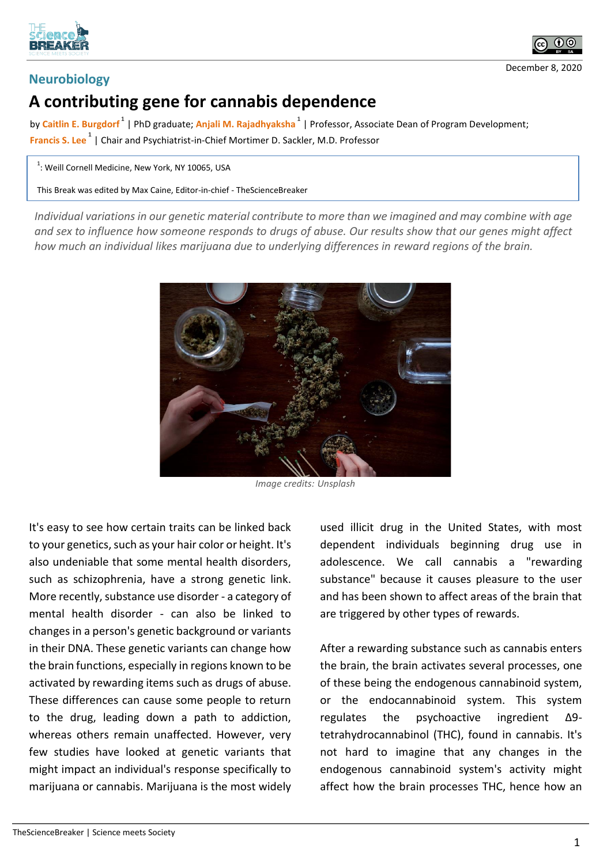



## **Neurobiology**

## **A contributing gene for cannabis dependence**

by **Caitlin E. Burgdorf <sup>1</sup>** | PhD graduate; **Anjali M. Rajadhyaksha <sup>1</sup>** | Professor, Associate Dean of Program Development; **Francis S. Lee <sup>1</sup>** | Chair and Psychiatrist-in-Chief Mortimer D. Sackler, M.D. Professor

 $^1$ : Weill Cornell Medicine, New York, NY 10065, USA

This Break was edited by Max Caine, Editor-in-chief - TheScienceBreaker

*Individual variations in our genetic material contribute to more than we imagined and may combine with age and sex to influence how someone responds to drugs of abuse. Our results show that our genes might affect how much an individual likes marijuana due to underlying differences in reward regions of the brain.*



*Image credits: Unsplash*

It's easy to see how certain traits can be linked back to your genetics, such as your hair color or height. It's also undeniable that some mental health disorders, such as schizophrenia, have a strong genetic link. More recently, substance use disorder - a category of mental health disorder - can also be linked to changes in a person's genetic background or variants in their DNA. These genetic variants can change how the brain functions, especially in regions known to be activated by rewarding items such as drugs of abuse. These differences can cause some people to return to the drug, leading down a path to addiction, whereas others remain unaffected. However, very few studies have looked at genetic variants that might impact an individual's response specifically to marijuana or cannabis. Marijuana is the most widely

used illicit drug in the United States, with most dependent individuals beginning drug use in adolescence. We call cannabis a "rewarding substance" because it causes pleasure to the user and has been shown to affect areas of the brain that are triggered by other types of rewards.

After a rewarding substance such as cannabis enters the brain, the brain activates several processes, one of these being the endogenous cannabinoid system, or the endocannabinoid system. This system regulates the psychoactive ingredient Δ9 tetrahydrocannabinol (THC), found in cannabis. It's not hard to imagine that any changes in the endogenous cannabinoid system's activity might affect how the brain processes THC, hence how an